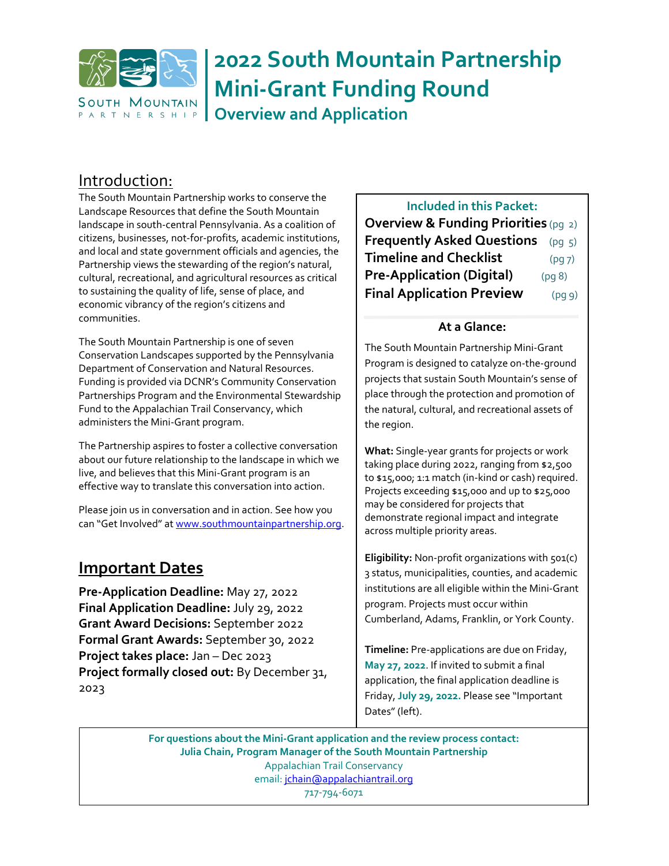

# **2022 South Mountain Partnership Mini-Grant Funding Round**

**Overview and Application**

## Introduction:

The South Mountain Partnership works to conserve the Landscape Resources that define the South Mountain landscape in south-central Pennsylvania. As a coalition of citizens, businesses, not-for-profits, academic institutions, and local and state government officials and agencies, the Partnership views the stewarding of the region's natural, cultural, recreational, and agricultural resources as critical to sustaining the quality of life, sense of place, and economic vibrancy of the region's citizens and communities.

The South Mountain Partnership is one of seven Conservation Landscapes supported by the Pennsylvania Department of Conservation and Natural Resources. Funding is provided via DCNR's Community Conservation Partnerships Program and the Environmental Stewardship Fund to the Appalachian Trail Conservancy, which administers the Mini-Grant program.

The Partnership aspires to foster a collective conversation about our future relationship to the landscape in which we live, and believes that this Mini-Grant program is an effective way to translate this conversation into action.

Please join us in conversation and in action. See how you can "Get Involved" at [www.southmountainpartnership.org.](http://www.southmountainpartnership.org/)

## **Important Dates**

**Pre-Application Deadline:** May 27, 2022 **Final Application Deadline:** July 29, 2022 **Grant Award Decisions:** September 2022 **Formal Grant Awards:** September 30, 2022 **Project takes place:** Jan – Dec 2023 **Project formally closed out:** By December 31, 2023

### **Included in this Packet:**

**Overview & Funding Priorities** (pg 2) **Frequently Asked Questions** (pg 5) **Timeline and Checklist** (pg 7) **Pre-Application (Digital)** (pg 8) **Final Application Preview** (pg 9)

#### **At a Glance:**

The South Mountain Partnership Mini-Grant Program is designed to catalyze on-the-ground projects that sustain South Mountain's sense of place through the protection and promotion of the natural, cultural, and recreational assets of the region.

**What:** Single-year grants for projects or work taking place during 2022, ranging from \$2,500 to \$15,000; 1:1 match (in-kind or cash) required. Projects exceeding \$15,000 and up to \$25,000 may be considered for projects that demonstrate regional impact and integrate across multiple priority areas.

**Eligibility:** Non-profit organizations with 501(c) 3 status, municipalities, counties, and academic institutions are all eligible within the Mini-Grant program. Projects must occur within Cumberland, Adams, Franklin, or York County.

**Timeline:** Pre-applications are due on Friday, **May 27, 2022**. If invited to submit a final application, the final application deadline is Friday, **July 29, 2022.** Please see "Important Dates" (left).

**For questions about the Mini-Grant application and the review process contact: Julia Chain, Program Manager of the South Mountain Partnership** Appalachian Trail Conservancy email[: jchain@appalachiantrail.org](mailto:jchain@appalachiantrail.org) 717-794-6071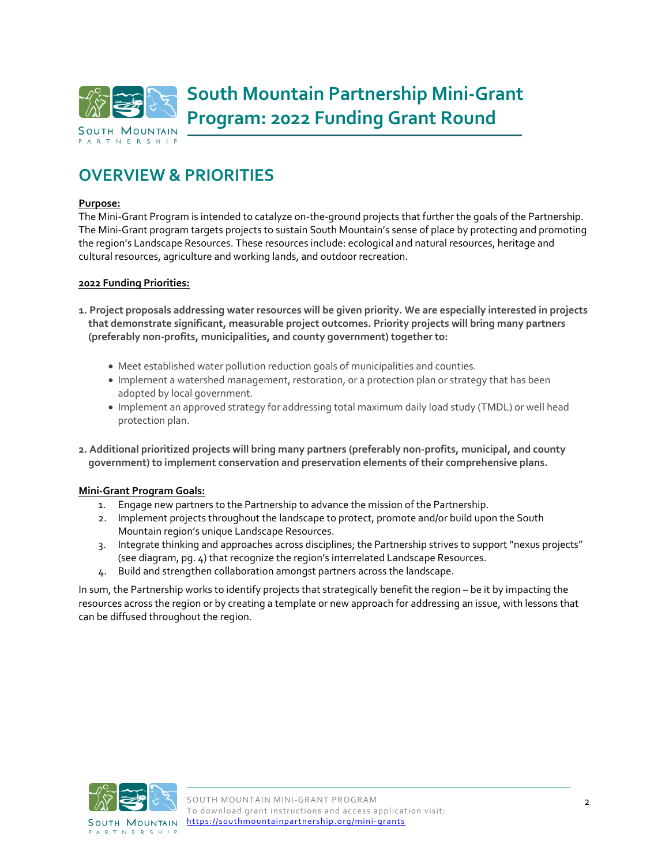

## **OVERVIEW & PRIORITIES**

#### **Purpose:**

The Mini-Grant Program is intended to catalyze on-the-ground projects that further the goals of the Partnership. The Mini-Grant program targets projects to sustain South Mountain's sense of place by protecting and promoting the region's Landscape Resources. These resources include: ecological and natural resources, heritage and cultural resources, agriculture and working lands, and outdoor recreation.

#### **2022 Funding Priorities:**

- **1. Project proposals addressing water resources will be given priority. We are especially interested in projects that demonstrate significant, measurable project outcomes. Priority projects will bring many partners (preferably non-profits, municipalities, and county government) together to:**
	- Meet established water pollution reduction goals of municipalities and counties.
	- Implement a watershed management, restoration, or a protection plan or strategy that has been adopted by local government.
	- Implement an approved strategy for addressing total maximum daily load study (TMDL) or well head protection plan.
- **2. Additional prioritized projects will bring many partners (preferably non-profits, municipal, and county government) to implement conservation and preservation elements of their comprehensive plans.**

#### **Mini-Grant Program Goals:**

- 1. Engage new partners to the Partnership to advance the mission of the Partnership.
- 2. Implement projects throughout the landscape to protect, promote and/or build upon the South Mountain region's unique Landscape Resources.
- 3. Integrate thinking and approaches across disciplines; the Partnership strives to support "nexus projects" (see diagram, pg. 4) that recognize the region's interrelated Landscape Resources.
- 4. Build and strengthen collaboration amongst partners across the landscape.

In sum, the Partnership works to identify projects that strategically benefit the region – be it by impacting the resources across the region or by creating a template or new approach for addressing an issue, with lessons that can be diffused throughout the region.

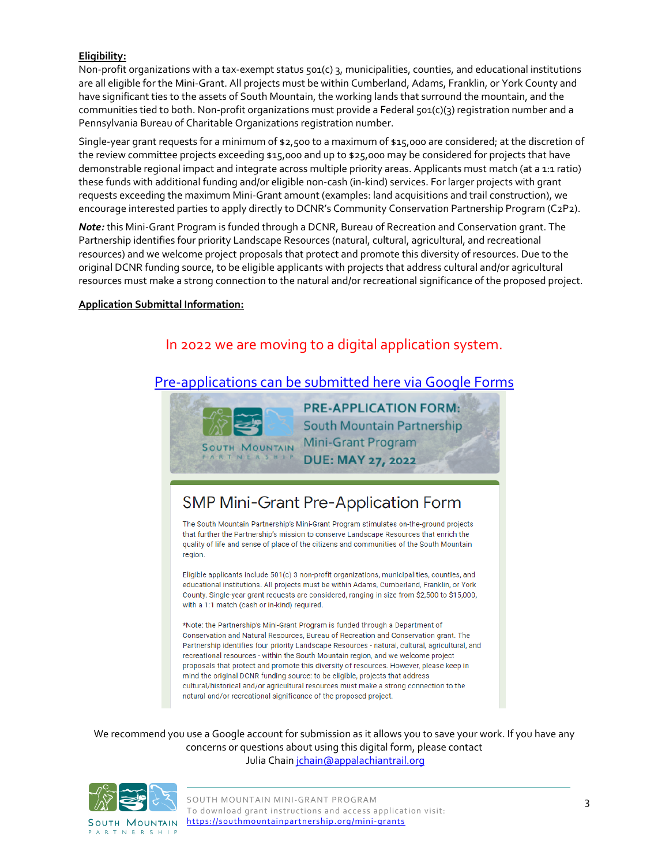#### **Eligibility:**

Non-profit organizations with a tax-exempt status 501(c) 3, municipalities, counties, and educational institutions are all eligible for the Mini-Grant. All projects must be within Cumberland, Adams, Franklin, or York County and have significant ties to the assets of South Mountain, the working lands that surround the mountain, and the communities tied to both. Non-profit organizations must provide a Federal  $\zeta$ <sub>01</sub>(c)(3) registration number and a Pennsylvania Bureau of Charitable Organizations registration number.

Single-year grant requests for a minimum of \$2,500 to a maximum of \$15,000 are considered; at the discretion of the review committee projects exceeding \$15,000 and up to \$25,000 may be considered for projects that have demonstrable regional impact and integrate across multiple priority areas. Applicants must match (at a 1:1 ratio) these funds with additional funding and/or eligible non-cash (in-kind) services. For larger projects with grant requests exceeding the maximum Mini-Grant amount (examples: land acquisitions and trail construction), we encourage interested parties to apply directly to DCNR's Community Conservation Partnership Program (C2P2).

*Note:* this Mini-Grant Program is funded through a DCNR, Bureau of Recreation and Conservation grant. The Partnership identifies four priority Landscape Resources (natural, cultural, agricultural, and recreational resources) and we welcome project proposals that protect and promote this diversity of resources. Due to the original DCNR funding source, to be eligible applicants with projects that address cultural and/or agricultural resources must make a strong connection to the natural and/or recreational significance of the proposed project.

#### **Application Submittal Information:**

### In 2022 we are moving to a digital application system.

### [Pre-applications can be submitted here](https://docs.google.com/forms/d/e/1FAIpQLSeOCnO8lC2_bgva0JgB5g4k26WajI0VK-OSF90jtV3x8WUmww/viewform) via Google Forms



## SMP Mini-Grant Pre-Application Form

The South Mountain Partnership's Mini-Grant Program stimulates on-the-ground projects that further the Partnership's mission to conserve Landscape Resources that enrich the quality of life and sense of place of the citizens and communities of the South Mountain region.

Eligible applicants include 501(c) 3 non-profit organizations, municipalities, counties, and educational institutions. All projects must be within Adams, Cumberland, Franklin, or York County. Single-year grant requests are considered, ranging in size from \$2,500 to \$15,000, with a 1:1 match (cash or in-kind) required.

\*Note: the Partnership's Mini-Grant Program is funded through a Department of Conservation and Natural Resources, Bureau of Recreation and Conservation grant. The Partnership identifies four priority Landscape Resources - natural, cultural, agricultural, and recreational resources - within the South Mountain region, and we welcome project proposals that protect and promote this diversity of resources. However, please keep in mind the original DCNR funding source: to be eligible, projects that address cultural/historical and/or agricultural resources must make a strong connection to the natural and/or recreational significance of the proposed project.

We recommend you use a Google account for submission as it allows you to save your work. If you have any concerns or questions about using this digital form, please contact Julia Chain *jchain@appalachiantrail.org* 

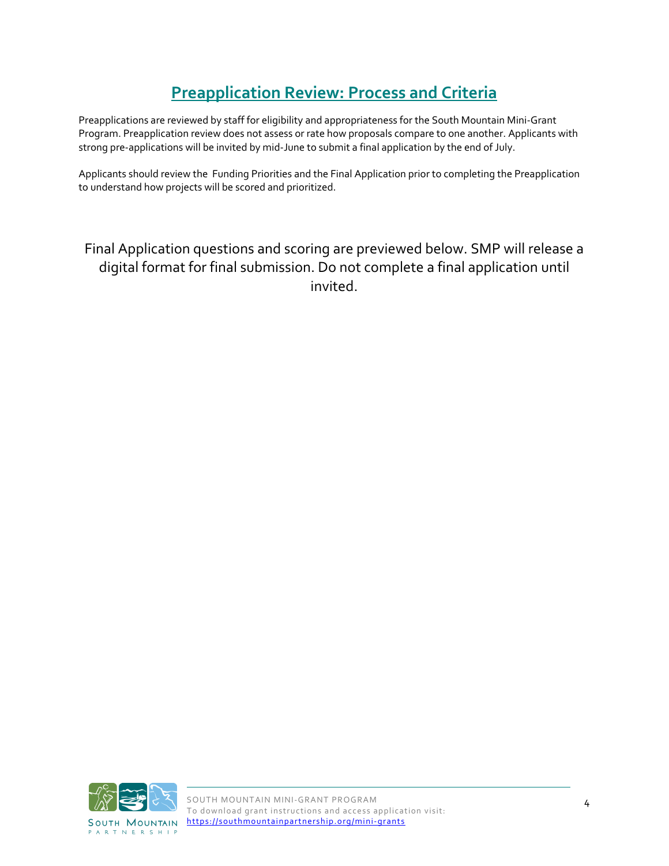## **Preapplication Review: Process and Criteria**

Preapplications are reviewed by staff for eligibility and appropriateness for the South Mountain Mini-Grant Program. Preapplication review does not assess or rate how proposals compare to one another. Applicants with strong pre-applications will be invited by mid-June to submit a final application by the end of July.

Applicants should review the Funding Priorities and the Final Application prior to completing the Preapplication to understand how projects will be scored and prioritized.

## Final Application questions and scoring are previewed below. SMP will release a digital format for final submission. Do not complete a final application until invited.

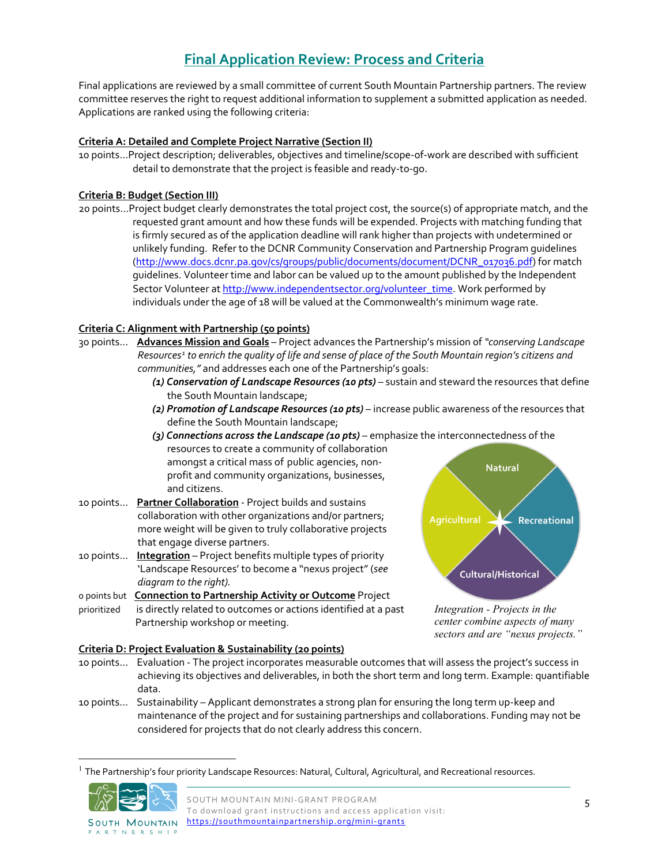## **Final Application Review: Process and Criteria**

Final applications are reviewed by a small committee of current South Mountain Partnership partners. The review committee reserves the right to request additional information to supplement a submitted application as needed. Applications are ranked using the following criteria:

#### **Criteria A: Detailed and Complete Project Narrative (Section II)**

10 points…Project description; deliverables, objectives and timeline/scope-of-work are described with sufficient detail to demonstrate that the project is feasible and ready-to-go.

#### **Criteria B: Budget (Section III)**

20 points…Project budget clearly demonstrates the total project cost, the source(s) of appropriate match, and the requested grant amount and how these funds will be expended. Projects with matching funding that is firmly secured as of the application deadline will rank higher than projects with undetermined or unlikely funding. Refer to the DCNR Community Conservation and Partnership Program guidelines [\(http://www.docs.dcnr.pa.gov/cs/groups/public/documents/document/DCNR\\_017036.pdf\)](http://www.docs.dcnr.pa.gov/cs/groups/public/documents/document/DCNR_017036.pdf) for match guidelines. Volunteer time and labor can be valued up to the amount published by the Independent Sector Volunteer at [http://www.independentsector.org/volunteer\\_time.](http://www.independentsector.org/volunteer_time) Work performed by individuals under the age of 18 will be valued at the Commonwealth's minimum wage rate.

#### **Criteria C: Alignment with Partnership (50 points)**

- 30 points... **Advances Mission and Goals** Project advances the Partnership's mission of *"conserving Landscape Resources[1](#page-4-0) to enrich the quality of life and sense of place of the South Mountain region's citizens and communities,"* and addresses each one of the Partnership's goals:
	- *(1) Conservation of Landscape Resources (10 pts)* sustain and steward the resources that define the South Mountain landscape;
	- *(2) Promotion of Landscape Resources (10 pts)* increase public awareness of the resources that define the South Mountain landscape;
	- *(3) Connections across the Landscape (10 pts)* emphasize the interconnectedness of the resources to create a community of collaboration amongst a critical mass of public agencies, non-**Natural** profit and community organizations, businesses, and citizens.
- 10 points... **Partner Collaboration** Project builds and sustains collaboration with other organizations and/or partners; more weight will be given to truly collaborative projects that engage diverse partners.
- 10 points… **Integration** Project benefits multiple types of priority 'Landscape Resources' to become a "nexus project" (*see diagram to the right).*

0 points but **Connection to Partnership Activity or Outcome** Project

**Criteria D: Project Evaluation & Sustainability (20 points)**

prioritized is directly related to outcomes or actions identified at a past Partnership workshop or meeting.



*Integration - Projects in the center combine aspects of many sectors and are "nexus projects."*

- 10 points… Evaluation The project incorporates measurable outcomes that will assess the project's success in achieving its objectives and deliverables, in both the short term and long term. Example: quantifiable data.
- 10 points… Sustainability Applicant demonstrates a strong plan for ensuring the long term up-keep and maintenance of the project and for sustaining partnerships and collaborations. Funding may not be considered for projects that do not clearly address this concern.

<span id="page-4-0"></span>The Partnership's four priority Landscape Resources: Natural, Cultural, Agricultural, and Recreational resources.



**PARTNERSHIP**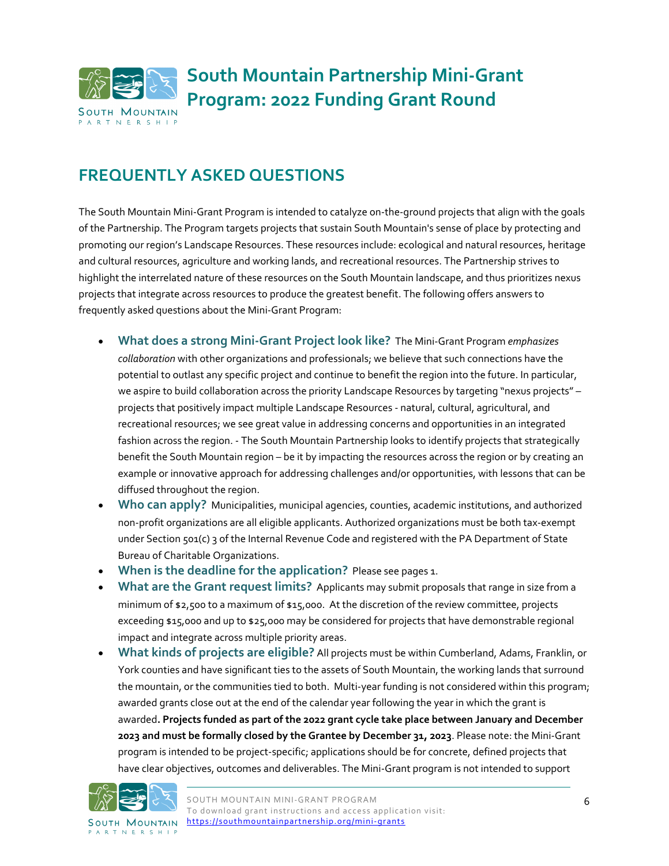

## **FREQUENTLY ASKED QUESTIONS**

The South Mountain Mini-Grant Program is intended to catalyze on-the-ground projects that align with the goals of the Partnership. The Program targets projects that sustain South Mountain's sense of place by protecting and promoting our region's Landscape Resources. These resources include: ecological and natural resources, heritage and cultural resources, agriculture and working lands, and recreational resources. The Partnership strives to highlight the interrelated nature of these resources on the South Mountain landscape, and thus prioritizes nexus projects that integrate across resources to produce the greatest benefit. The following offers answers to frequently asked questions about the Mini-Grant Program:

- **What does a strong Mini-Grant Project look like?** The Mini-Grant Program *emphasizes collaboration* with other organizations and professionals; we believe that such connections have the potential to outlast any specific project and continue to benefit the region into the future. In particular, we aspire to build collaboration across the priority Landscape Resources by targeting "nexus projects" – projects that positively impact multiple Landscape Resources - natural, cultural, agricultural, and recreational resources; we see great value in addressing concerns and opportunities in an integrated fashion across the region. - The South Mountain Partnership looks to identify projects that strategically benefit the South Mountain region – be it by impacting the resources across the region or by creating an example or innovative approach for addressing challenges and/or opportunities, with lessons that can be diffused throughout the region.
- **Who can apply?** Municipalities, municipal agencies, counties, academic institutions, and authorized non-profit organizations are all eligible applicants. Authorized organizations must be both tax-exempt under Section 501(c) 3 of the Internal Revenue Code and registered with the PA Department of State Bureau of Charitable Organizations.
- **When is the deadline for the application?** Please see pages 1.
- **What are the Grant request limits?** Applicants may submit proposals that range in size from a minimum of \$2,500 to a maximum of \$15,000. At the discretion of the review committee, projects exceeding \$15,000 and up to \$25,000 may be considered for projects that have demonstrable regional impact and integrate across multiple priority areas.
- **What kinds of projects are eligible?** All projects must be within Cumberland, Adams, Franklin, or York counties and have significant ties to the assets of South Mountain, the working lands that surround the mountain, or the communities tied to both. Multi-year funding is not considered within this program; awarded grants close out at the end of the calendar year following the year in which the grant is awarded**. Projects funded as part of the 2022 grant cycle take place between January and December 2023 and must be formally closed by the Grantee by December 31, 2023**. Please note: the Mini-Grant program is intended to be project-specific; applications should be for concrete, defined projects that have clear objectives, outcomes and deliverables. The Mini-Grant program is not intended to support



**PARTNERSHIP**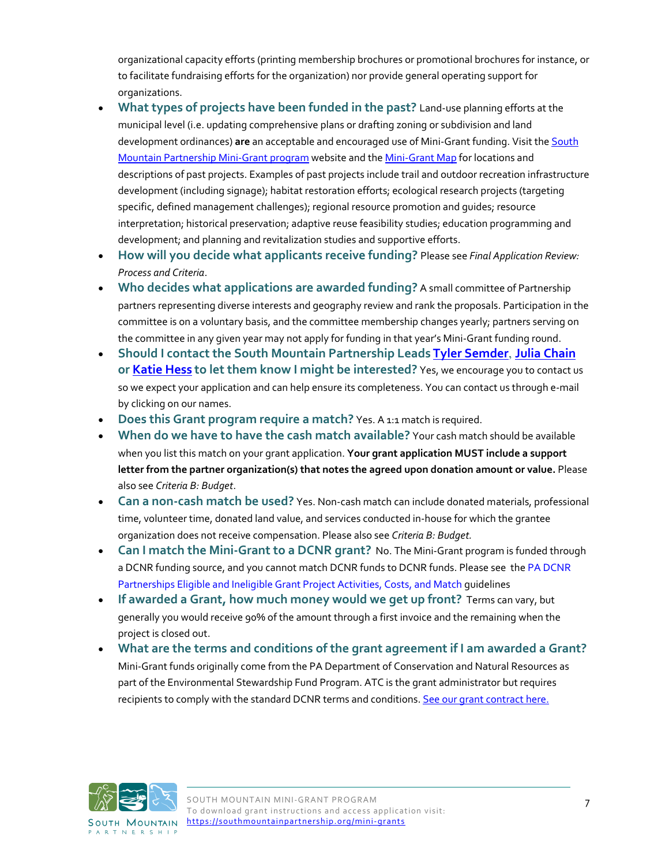organizational capacity efforts (printing membership brochures or promotional brochures for instance, or to facilitate fundraising efforts for the organization) nor provide general operating support for organizations.

- **What types of projects have been funded in the past?** Land-use planning efforts at the municipal level (i.e. updating comprehensive plans or drafting zoning or subdivision and land development ordinances) **are** an acceptable and encouraged use of Mini-Grant funding. Visit the [South](http://southmountainpartnership.org/mini-grants)  [Mountain Partnership Mini-Grant program](http://southmountainpartnership.org/mini-grants) website and th[e Mini-Grant Map](https://ship.maps.arcgis.com/apps/Cascade/index.html?appid=f6a94559c5e941489969825db3b98d37) for locations and descriptions of past projects. Examples of past projects include trail and outdoor recreation infrastructure development (including signage); habitat restoration efforts; ecological research projects (targeting specific, defined management challenges); regional resource promotion and guides; resource interpretation; historical preservation; adaptive reuse feasibility studies; education programming and development; and planning and revitalization studies and supportive efforts.
- **How will you decide what applicants receive funding?** Please see *Final Application Review: Process and Criteria*.
- **Who decides what applications are awarded funding?** A small committee of Partnership partners representing diverse interests and geography review and rank the proposals. Participation in the committee is on a voluntary basis, and the committee membership changes yearly; partners serving on the committee in any given year may not apply for funding in that year's Mini-Grant funding round.
- **Should I contact the South Mountain Partnership Leads [Tyler Semder](mailto:tsemder@pa.gov)**, **[Julia Chain](mailto:jchain@appalachiantrail.org?subject=2022%20Mini%20Grant) or [Katie Hess](mailto:khess@appalachiantrail.org) to let them know I might be interested?** Yes, we encourage you to contact us so we expect your application and can help ensure its completeness. You can contact us through e-mail by clicking on our names.
- **Does this Grant program require a match?** Yes. A 1:1 match is required.
- **When do we have to have the cash match available?** Your cash match should be available when you list this match on your grant application. **Your grant application MUST include a support letter from the partner organization(s) that notes the agreed upon donation amount or value.** Please also see *Criteria B: Budget*.
- **Can a non-cash match be used?** Yes. Non-cash match can include donated materials, professional time, volunteer time, donated land value, and services conducted in-house for which the grantee organization does not receive compensation. Please also see *Criteria B: Budget.*
- **Can I match the Mini-Grant to a DCNR grant?** No. The Mini-Grant program is funded through a DCNR funding source, and you cannot match DCNR funds to DCNR funds. Please see th[e PA DCNR](http://elibrary.dcnr.pa.gov/GetDocument?docId=1753162&DocName=dcnr_017036.pdf)  [Partnerships Eligible and Ineligible Grant Project Activities, Costs, and Match](http://elibrary.dcnr.pa.gov/GetDocument?docId=1753162&DocName=dcnr_017036.pdf) guidelines
- **If awarded a Grant, how much money would we get up front?** Terms can vary, but generally you would receive 90% of the amount through a first invoice and the remaining when the project is closed out.
- **What are the terms and conditions of the grant agreement if I am awarded a Grant?** Mini-Grant funds originally come from the PA Department of Conservation and Natural Resources as part of the Environmental Stewardship Fund Program. ATC is the grant administrator but requires recipients to comply with the standard DCNR terms and conditions. [See our grant contract here.](http://southmountainpartnership.org/wp-content/uploads/2015/01/Sample-SMP-MiniGrant-Agreement.pdf)

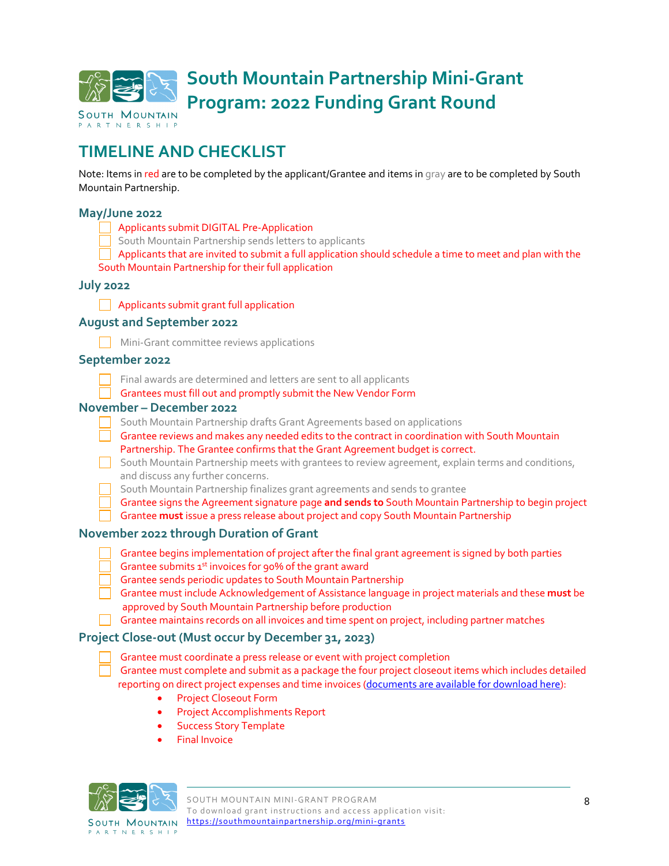

## **TIMELINE AND CHECKLIST**

Note: Items in red are to be completed by the applicant/Grantee and items in gray are to be completed by South Mountain Partnership.

#### **May/June 2022**

- Applicants submit DIGITAL Pre-Application
- South Mountain Partnership sends letters to applicants
- Applicants that are invited to submit a full application should schedule a time to meet and plan with the

#### South Mountain Partnership for their full application

#### **July 2022**

**Applicants submit grant full application** 

#### **August and September 2022**

**Mini-Grant committee reviews applications** 

#### **September 2022**

Final awards are determined and letters are sent to all applicants

Grantees must fill out and promptly submit the New Vendor Form

#### **November – December 2022**

- South Mountain Partnership drafts Grant Agreements based on applications
- Grantee reviews and makes any needed edits to the contract in coordination with South Mountain Partnership. The Grantee confirms that the Grant Agreement budget is correct.
- South Mountain Partnership meets with grantees to review agreement, explain terms and conditions, and discuss any further concerns.
	- South Mountain Partnership finalizes grant agreements and sends to grantee
- Grantee signs the Agreement signature page **and sends to** South Mountain Partnership to begin project
- Grantee **must** issue a press release about project and copy South Mountain Partnership

#### **November 2022 through Duration of Grant**

- Grantee begins implementation of project after the final grant agreement is signed by both parties
- Grantee submits  $1<sup>st</sup>$  invoices for 90% of the grant award
- Grantee sends periodic updates to South Mountain Partnership
- Grantee must include Acknowledgement of Assistance language in project materials and these **must** be approved by South Mountain Partnership before production
- Grantee maintains records on all invoices and time spent on project, including partner matches

#### **Project Close-out (Must occur by December 31, 2023)**

Grantee must coordinate a press release or event with project completion

 Grantee must complete and submit as a package the four project closeout items which includes detailed reporting on direct project expenses and time invoices [\(documents are available for download here\)](https://southmountainpartnership.org/mini-grants/close-out-documentation):

- Project Closeout Form
- Project Accomplishments Report
- Success Story Template
- Final Invoice



SOUTH MOUNTAIN **PARTNERSHIP**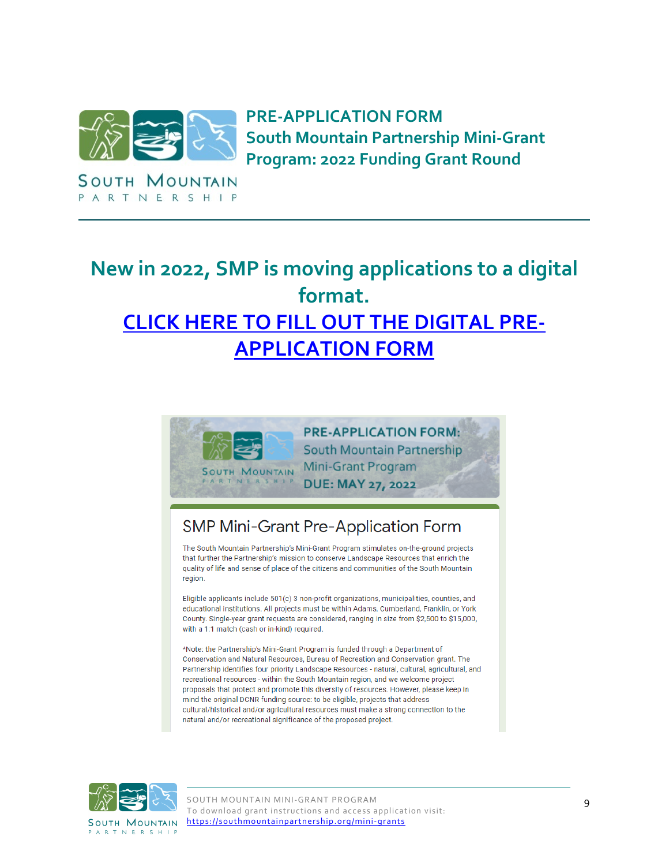

SOUTH MOUNTAIN PARTNERSHIP

**PRE-APPLICATION FORM South Mountain Partnership Mini-Grant Program: 2022 Funding Grant Round** 

# **New in 2022, SMP is moving applications to a digital format. [CLICK HERE TO FILL OUT THE DIGITAL PRE-](https://forms.gle/aXgmbyVy6qkenMUD9)[APPLICATION FORM](https://forms.gle/aXgmbyVy6qkenMUD9)**



**PRE-APPLICATION FORM: South Mountain Partnership Mini-Grant Program DUE: MAY 27, 2022** 

## SMP Mini-Grant Pre-Application Form

The South Mountain Partnership's Mini-Grant Program stimulates on-the-ground projects that further the Partnership's mission to conserve Landscape Resources that enrich the quality of life and sense of place of the citizens and communities of the South Mountain region.

Eligible applicants include 501(c) 3 non-profit organizations, municipalities, counties, and educational institutions. All projects must be within Adams, Cumberland, Franklin, or York County. Single-year grant requests are considered, ranging in size from \$2,500 to \$15,000, with a 1:1 match (cash or in-kind) required.

\*Note: the Partnership's Mini-Grant Program is funded through a Department of Conservation and Natural Resources, Bureau of Recreation and Conservation grant. The Partnership identifies four priority Landscape Resources - natural, cultural, agricultural, and recreational resources - within the South Mountain region, and we welcome project proposals that protect and promote this diversity of resources. However, please keep in mind the original DCNR funding source: to be eligible, projects that address cultural/historical and/or agricultural resources must make a strong connection to the natural and/or recreational significance of the proposed project.

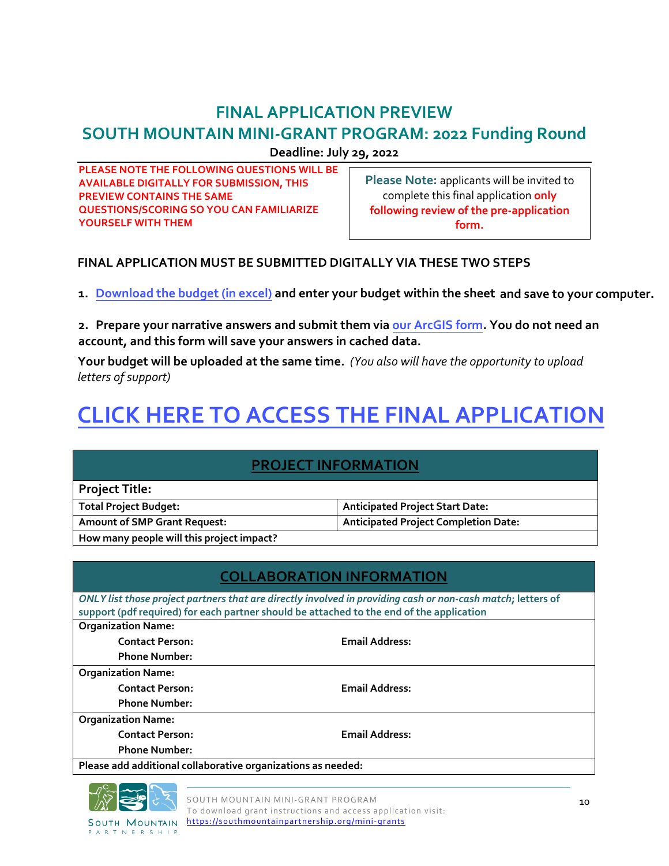## **FINAL APPLICATION PREVIEW**

## **SOUTH MOUNTAIN MINI-GRANT PROGRAM: 2022 Funding Round**

**Deadline: July 29, 2022** 

**PLEASE NOTE THE FOLLOWING QUESTIONS WILL BE AVAILABLE DIGITALLY FOR SUBMISSION, THIS PREVIEW CONTAINS THE SAME QUESTIONS/SCORING SO YOU CAN FAMILIARIZE YOURSELF WITH THEM** 

**Please Note:** applicants will be invited to complete this final application **only following review of the pre-application form.**

### **FINAL APPLICATION MUST BE SUBMITTED DIGITALLY VIA THESE TWO STEPS**

**1. Downlo[ad the budget \(in excel\) and ente](https://southmountainpartnership.org/wp-content/uploads/2022/06/SMP-Mini-Grant-Budget_Public_Protected.xlsx)r your budget within the sheet and save to your computer.** 

**2. [Prepare your narrative answers and submit them via our ArcGIS form.](https://arcg.is/1zeu1f) You do not need an account, and this form will save your answers in cached data.**

**Your budget will be uploaded at the same time.** *(You also will have the opportunity to upload letters of support)*

# **[CLICK HERE TO ACCESS THE FINAL APPLICATION](https://arcg.is/1zeu1f)**

### **PROJECT INFORMATION**

| <b>Project Title:</b>                     |                                             |
|-------------------------------------------|---------------------------------------------|
| <b>Total Project Budget:</b>              | <b>Anticipated Project Start Date:</b>      |
| <b>Amount of SMP Grant Request:</b>       | <b>Anticipated Project Completion Date:</b> |
| How many people will this project impact? |                                             |

| <b>COLLABORATION INFORMATION</b>                                                                            |                       |  |  |  |
|-------------------------------------------------------------------------------------------------------------|-----------------------|--|--|--|
| ONLY list those project partners that are directly involved in providing cash or non-cash match; letters of |                       |  |  |  |
| support (pdf required) for each partner should be attached to the end of the application                    |                       |  |  |  |
| <b>Organization Name:</b>                                                                                   |                       |  |  |  |
| <b>Contact Person:</b>                                                                                      | <b>Email Address:</b> |  |  |  |
| <b>Phone Number:</b>                                                                                        |                       |  |  |  |
| <b>Organization Name:</b>                                                                                   |                       |  |  |  |
| <b>Contact Person:</b>                                                                                      | <b>Email Address:</b> |  |  |  |
| <b>Phone Number:</b>                                                                                        |                       |  |  |  |
| <b>Organization Name:</b>                                                                                   |                       |  |  |  |
| <b>Contact Person:</b>                                                                                      | <b>Email Address:</b> |  |  |  |
| <b>Phone Number:</b>                                                                                        |                       |  |  |  |
| Please add additional collaborative organizations as needed:                                                |                       |  |  |  |
|                                                                                                             |                       |  |  |  |



PARTNERSHIP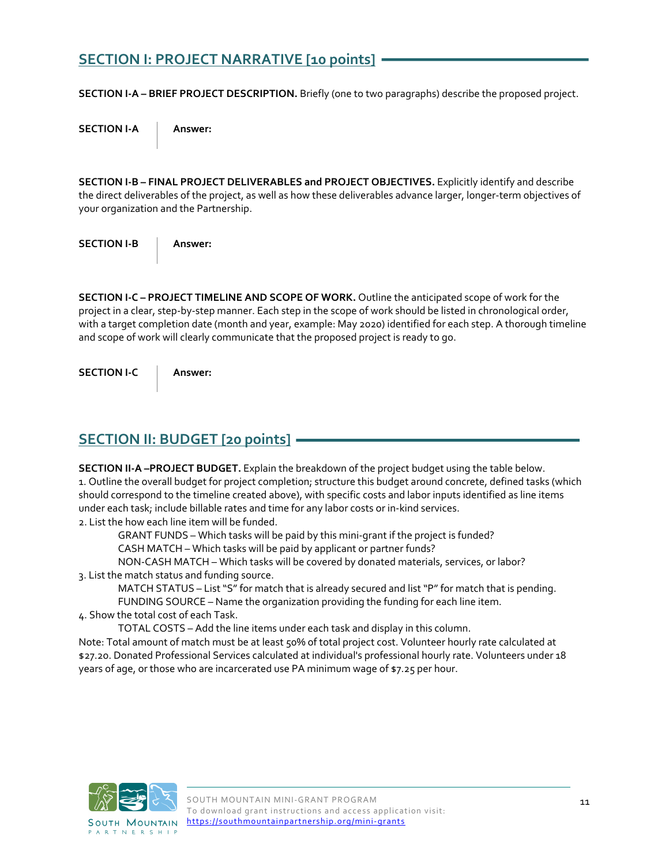### **SECTION I: PROJECT NARRATIVE [10 points]**

**SECTION I-A – BRIEF PROJECT DESCRIPTION.** Briefly (one to two paragraphs) describe the proposed project.

**SECTION I-A Answer:** 

**SECTION I-B – FINAL PROJECT DELIVERABLES and PROJECT OBJECTIVES.** Explicitly identify and describe the direct deliverables of the project, as well as how these deliverables advance larger, longer-term objectives of your organization and the Partnership.

**SECTION I-B Answer:** 

**SECTION I-C – PROJECT TIMELINE AND SCOPE OF WORK.** Outline the anticipated scope of work for the project in a clear, step-by-step manner. Each step in the scope of work should be listed in chronological order, with a target completion date (month and year, example: May 2020) identified for each step. A thorough timeline and scope of work will clearly communicate that the proposed project is ready to go.

**SECTION I-C Answer:** 

### **SECTION II: BUDGET [20 points]**

**SECTION II-A –PROJECT BUDGET.** Explain the breakdown of the project budget using the table below. 1. Outline the overall budget for project completion; structure this budget around concrete, defined tasks (which should correspond to the timeline created above), with specific costs and labor inputs identified as line items under each task; include billable rates and time for any labor costs or in-kind services. 2. List the how each line item will be funded.

GRANT FUNDS – Which tasks will be paid by this mini-grant if the project is funded?

CASH MATCH – Which tasks will be paid by applicant or partner funds?

NON-CASH MATCH – Which tasks will be covered by donated materials, services, or labor? 3. List the match status and funding source.

MATCH STATUS – List "S" for match that is already secured and list "P" for match that is pending.

FUNDING SOURCE – Name the organization providing the funding for each line item.

4. Show the total cost of each Task.

TOTAL COSTS – Add the line items under each task and display in this column.

Note: Total amount of match must be at least 50% of total project cost. Volunteer hourly rate calculated at \$27.20. Donated Professional Services calculated at individual's professional hourly rate. Volunteers under 18 years of age, or those who are incarcerated use PA minimum wage of \$7.25 per hour.

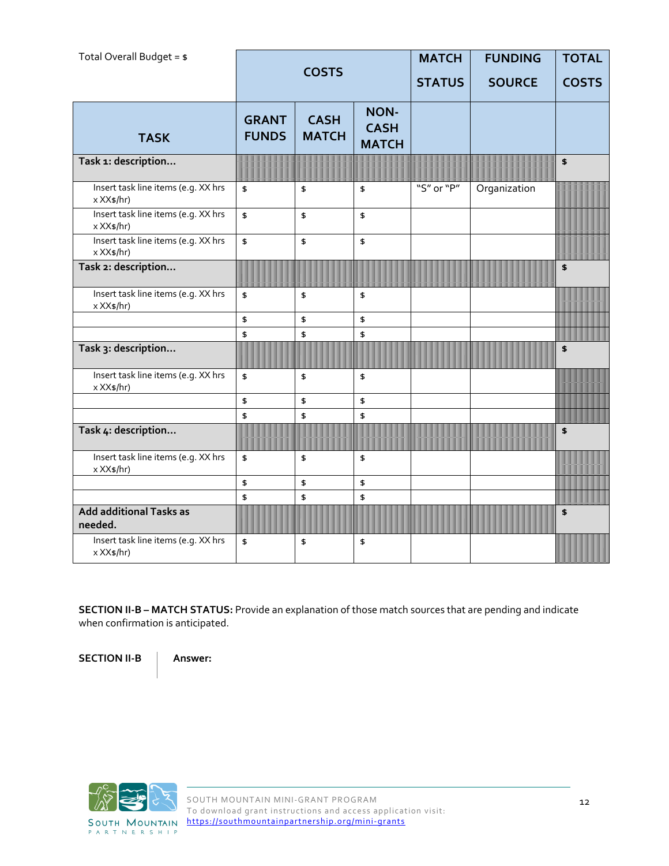| Total Overall Budget = $$$                        |                              | <b>COSTS</b>                |                                            | <b>MATCH</b><br><b>STATUS</b> | <b>FUNDING</b><br><b>SOURCE</b> | <b>TOTAL</b><br><b>COSTS</b> |
|---------------------------------------------------|------------------------------|-----------------------------|--------------------------------------------|-------------------------------|---------------------------------|------------------------------|
| <b>TASK</b>                                       | <b>GRANT</b><br><b>FUNDS</b> | <b>CASH</b><br><b>MATCH</b> | <b>NON-</b><br><b>CASH</b><br><b>MATCH</b> |                               |                                 |                              |
| Task 1: description                               |                              |                             |                                            |                               |                                 | \$                           |
| Insert task line items (e.g. XX hrs<br>x XX\$/hr) | \$                           | \$                          | \$                                         | "S" or "P"                    | Organization                    |                              |
| Insert task line items (e.g. XX hrs<br>x XX\$/hr) | $\pmb{\mathsf{\$}}$          | \$                          | \$                                         |                               |                                 |                              |
| Insert task line items (e.g. XX hrs<br>x XX\$/hr) | $\pmb{\mathfrak{s}}$         | \$                          | \$                                         |                               |                                 |                              |
| Task 2: description                               |                              |                             |                                            |                               |                                 | \$                           |
| Insert task line items (e.g. XX hrs<br>x XX\$/hr) | \$                           | \$                          | \$                                         |                               |                                 |                              |
|                                                   | \$                           | \$                          | \$                                         |                               |                                 |                              |
| Task 3: description                               | \$                           | \$                          | \$                                         |                               |                                 | \$                           |
| Insert task line items (e.g. XX hrs<br>x XX\$/hr) | \$                           | \$                          | \$                                         |                               |                                 |                              |
|                                                   | \$                           | \$                          | \$                                         |                               |                                 |                              |
| Task 4: description                               | \$                           | \$                          | \$                                         |                               |                                 | \$                           |
| Insert task line items (e.g. XX hrs<br>x XX\$/hr) | \$                           | \$                          | \$                                         |                               |                                 |                              |
|                                                   | \$                           | \$                          | \$                                         |                               |                                 |                              |
| <b>Add additional Tasks as</b><br>needed.         | \$                           | \$                          | \$                                         |                               |                                 | $\boldsymbol{\mathsf{s}}$    |
| Insert task line items (e.g. XX hrs<br>x XX\$/hr) | \$                           | \$                          | \$                                         |                               |                                 |                              |

**SECTION II-B – MATCH STATUS:** Provide an explanation of those match sources that are pending and indicate when confirmation is anticipated.

**SECTION II-B Answer:** 

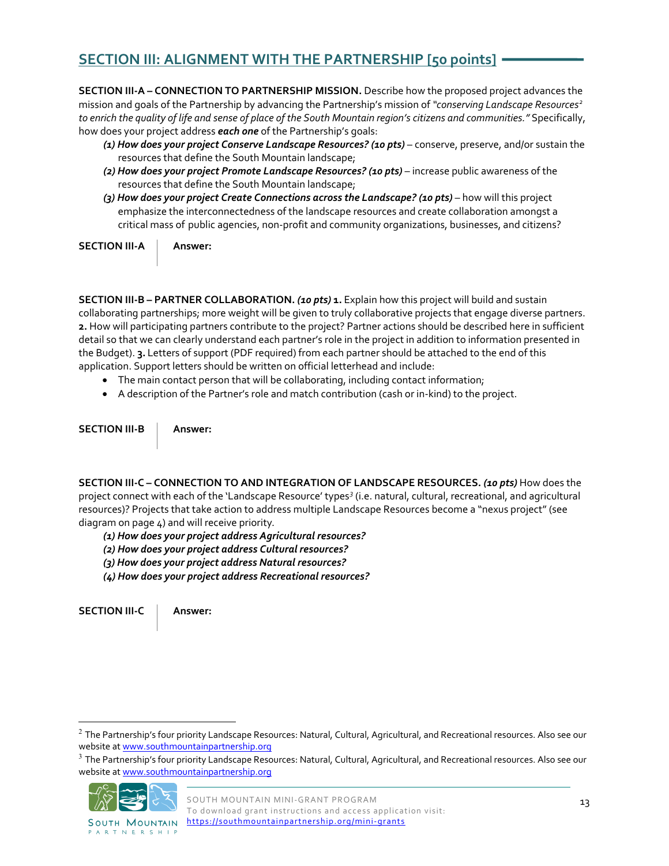### **SECTION III: ALIGNMENT WITH THE PARTNERSHIP [50 points]**

**SECTION III-A – CONNECTION TO PARTNERSHIP MISSION.** Describe how the proposed project advances the mission and goals of the Partnership by advancing the Partnership's mission of *"conserving Landscape Resources[2](#page-12-0) to enrich the quality of life and sense of place of the South Mountain region's citizens and communities."* Specifically, how does your project address *each one* of the Partnership's goals:

- *(1) How does your project Conserve Landscape Resources? (10 pts)* conserve, preserve, and/or sustain the resources that define the South Mountain landscape;
- *(2) How does your project Promote Landscape Resources? (10 pts)* increase public awareness of the resources that define the South Mountain landscape;
- *(3) How does your project Create Connections across the Landscape? (10 pts)* how will this project emphasize the interconnectedness of the landscape resources and create collaboration amongst a critical mass of public agencies, non-profit and community organizations, businesses, and citizens?

**SECTION III-A** | **Answer:** 

**SECTION III-B – PARTNER COLLABORATION.** *(10 pts)* **1.** Explain how this project will build and sustain collaborating partnerships; more weight will be given to truly collaborative projects that engage diverse partners. **2.** How will participating partners contribute to the project? Partner actions should be described here in sufficient detail so that we can clearly understand each partner's role in the project in addition to information presented in the Budget). **3.** Letters of support (PDF required) from each partner should be attached to the end of this application. Support letters should be written on official letterhead and include:

- The main contact person that will be collaborating, including contact information;
- A description of the Partner's role and match contribution (cash or in-kind) to the project.

**SECTION III-B Answer:** 

**SECTION III-C – CONNECTION TO AND INTEGRATION OF LANDSCAPE RESOURCES.** *(10 pts)* How does the project connect with each of the 'Landscape Resource' types*[3](#page-12-1)* (i.e. natural, cultural, recreational, and agricultural resources)? Projects that take action to address multiple Landscape Resources become a "nexus project" (see diagram on page 4) and will receive priority*.* 

*(1) How does your project address Agricultural resources?*

*(2) How does your project address Cultural resources?*

- *(3) How does your project address Natural resources?*
- *(4) How does your project address Recreational resources?*

**SECTION III-C Answer:** 

<span id="page-12-1"></span><sup>&</sup>lt;sup>3</sup> The Partnership's four priority Landscape Resources: Natural, Cultural, Agricultural, and Recreational resources. Also see our website at www.southmountainpartnership.org



**SOUTH MOUNTAIN PARTNERSHIP** 

<span id="page-12-0"></span> $2$  The Partnership's four priority Landscape Resources: Natural, Cultural, Agricultural, and Recreational resources. Also see our website at www.southmountainpartnership.org